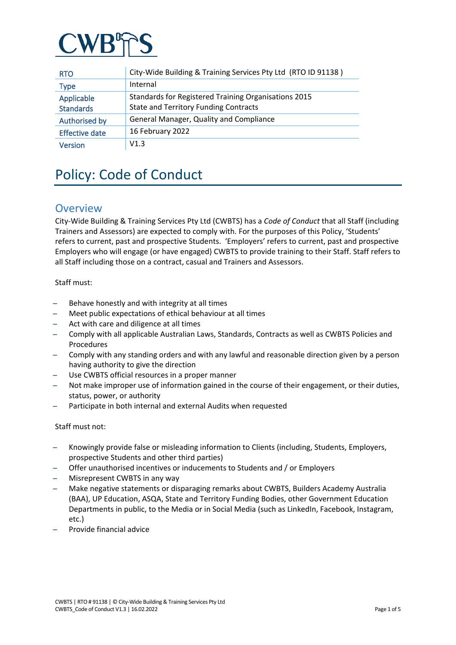

| <b>RTO</b>                     | City-Wide Building & Training Services Pty Ltd (RTO ID 91138)                                        |
|--------------------------------|------------------------------------------------------------------------------------------------------|
| Type                           | Internal                                                                                             |
| Applicable<br><b>Standards</b> | Standards for Registered Training Organisations 2015<br><b>State and Territory Funding Contracts</b> |
| Authorised by                  | General Manager, Quality and Compliance                                                              |
| <b>Effective date</b>          | 16 February 2022                                                                                     |
| <b>Version</b>                 | V1.3                                                                                                 |

# Policy: Code of Conduct

#### **Overview**

City-Wide Building & Training Services Pty Ltd (CWBTS) has a *Code of Conduct* that all Staff (including Trainers and Assessors) are expected to comply with. For the purposes of this Policy, 'Students' refers to current, past and prospective Students. 'Employers' refers to current, past and prospective Employers who will engage (or have engaged) CWBTS to provide training to their Staff. Staff refers to all Staff including those on a contract, casual and Trainers and Assessors.

#### Staff must:

- ̶ Behave honestly and with integrity at all times
- ̶ Meet public expectations of ethical behaviour at all times
- ̶ Act with care and diligence at all times
- ̶ Comply with all applicable Australian Laws, Standards, Contracts as well as CWBTS Policies and Procedures
- ̶ Comply with any standing orders and with any lawful and reasonable direction given by a person having authority to give the direction
- Use CWBTS official resources in a proper manner
- ̶ Not make improper use of information gained in the course of their engagement, or their duties, status, power, or authority
- ̶ Participate in both internal and external Audits when requested

#### Staff must not:

- ̶ Knowingly provide false or misleading information to Clients (including, Students, Employers, prospective Students and other third parties)
- ̶ Offer unauthorised incentives or inducements to Students and / or Employers
- ̶ Misrepresent CWBTS in any way
- ̶ Make negative statements or disparaging remarks about CWBTS, Builders Academy Australia (BAA), UP Education, ASQA, State and Territory Funding Bodies, other Government Education Departments in public, to the Media or in Social Media (such as LinkedIn, Facebook, Instagram, etc.)
- ̶ Provide financial advice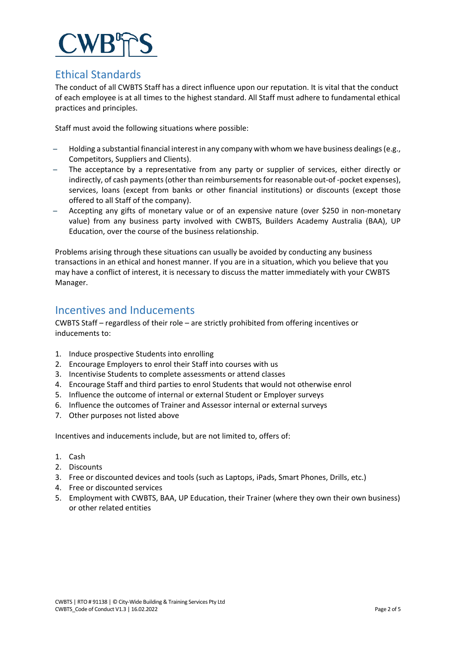

# Ethical Standards

The conduct of all CWBTS Staff has a direct influence upon our reputation. It is vital that the conduct of each employee is at all times to the highest standard. All Staff must adhere to fundamental ethical practices and principles.

Staff must avoid the following situations where possible:

- ̶ Holding a substantial financial interest in any company with whom we have business dealings (e.g., Competitors, Suppliers and Clients).
- ̶ The acceptance by a representative from any party or supplier of services, either directly or indirectly, of cash payments (other than reimbursements for reasonable out-of -pocket expenses), services, loans (except from banks or other financial institutions) or discounts (except those offered to all Staff of the company).
- ̶ Accepting any gifts of monetary value or of an expensive nature (over \$250 in non-monetary value) from any business party involved with CWBTS, Builders Academy Australia (BAA), UP Education, over the course of the business relationship.

Problems arising through these situations can usually be avoided by conducting any business transactions in an ethical and honest manner. If you are in a situation, which you believe that you may have a conflict of interest, it is necessary to discuss the matter immediately with your CWBTS Manager.

#### Incentives and Inducements

CWBTS Staff – regardless of their role – are strictly prohibited from offering incentives or inducements to:

- 1. Induce prospective Students into enrolling
- 2. Encourage Employers to enrol their Staff into courses with us
- 3. Incentivise Students to complete assessments or attend classes
- 4. Encourage Staff and third parties to enrol Students that would not otherwise enrol
- 5. Influence the outcome of internal or external Student or Employer surveys
- 6. Influence the outcomes of Trainer and Assessor internal or external surveys
- 7. Other purposes not listed above

Incentives and inducements include, but are not limited to, offers of:

- 1. Cash
- 2. Discounts
- 3. Free or discounted devices and tools (such as Laptops, iPads, Smart Phones, Drills, etc.)
- 4. Free or discounted services
- 5. Employment with CWBTS, BAA, UP Education, their Trainer (where they own their own business) or other related entities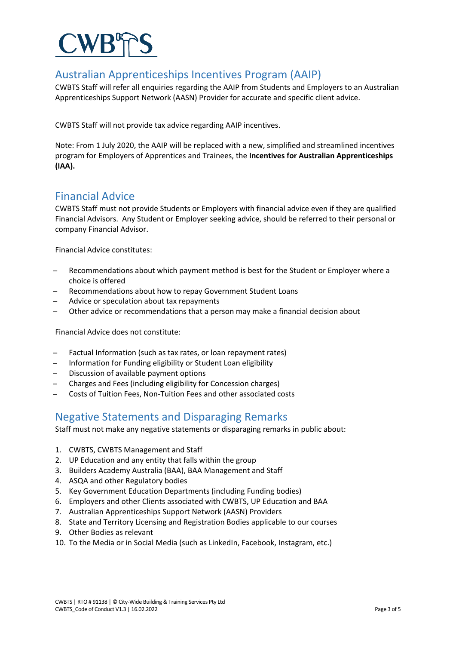

# Australian Apprenticeships Incentives Program (AAIP)

CWBTS Staff will refer all enquiries regarding the AAIP from Students and Employers to an Australian Apprenticeships Support Network (AASN) Provider for accurate and specific client advice.

CWBTS Staff will not provide tax advice regarding AAIP incentives.

Note: From 1 July 2020, the AAIP will be replaced with a new, simplified and streamlined incentives program for Employers of Apprentices and Trainees, the **Incentives for Australian Apprenticeships (IAA).** 

## Financial Advice

CWBTS Staff must not provide Students or Employers with financial advice even if they are qualified Financial Advisors. Any Student or Employer seeking advice, should be referred to their personal or company Financial Advisor.

Financial Advice constitutes:

- ̶ Recommendations about which payment method is best for the Student or Employer where a choice is offered
- ̶ Recommendations about how to repay Government Student Loans
- ̶ Advice or speculation about tax repayments
- ̶ Other advice or recommendations that a person may make a financial decision about

Financial Advice does not constitute:

- ̶ Factual Information (such as tax rates, or loan repayment rates)
- ̶ Information for Funding eligibility or Student Loan eligibility
- ̶ Discussion of available payment options
- ̶ Charges and Fees (including eligibility for Concession charges)
- ̶ Costs of Tuition Fees, Non-Tuition Fees and other associated costs

#### Negative Statements and Disparaging Remarks

Staff must not make any negative statements or disparaging remarks in public about:

- 1. CWBTS, CWBTS Management and Staff
- 2. UP Education and any entity that falls within the group
- 3. Builders Academy Australia (BAA), BAA Management and Staff
- 4. ASQA and other Regulatory bodies
- 5. Key Government Education Departments (including Funding bodies)
- 6. Employers and other Clients associated with CWBTS, UP Education and BAA
- 7. Australian Apprenticeships Support Network (AASN) Providers
- 8. State and Territory Licensing and Registration Bodies applicable to our courses
- 9. Other Bodies as relevant
- 10. To the Media or in Social Media (such as LinkedIn, Facebook, Instagram, etc.)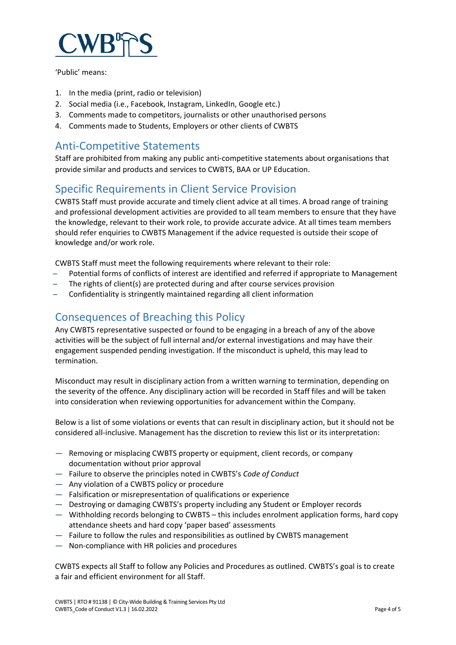

'Public' means:

- 1. In the media (print, radio or television)
- 2. Social media (i.e., Facebook, Instagram, LinkedIn, Google etc.)
- 3. Comments made to competitors, journalists or other unauthorised persons
- 4. Comments made to Students, Employers or other clients of CWBTS

## Anti-Competitive Statements

Staff are prohibited from making any public anti-competitive statements about organisations that provide similar and products and services to CWBTS, BAA or UP Education.

## Specific Requirements in Client Service Provision

CWBTS Staff must provide accurate and timely client advice at all times. A broad range of training and professional development activities are provided to all team members to ensure that they have the knowledge, relevant to their work role, to provide accurate advice. At all times team members should refer enquiries to CWBTS Management if the advice requested is outside their scope of knowledge and/or work role.

CWBTS Staff must meet the following requirements where relevant to their role:

- ̶ Potential forms of conflicts of interest are identified and referred if appropriate to Management
- ̶ The rights of client(s) are protected during and after course services provision
- ̶ Confidentiality is stringently maintained regarding all client information

# Consequences of Breaching this Policy

Any CWBTS representative suspected or found to be engaging in a breach of any of the above activities will be the subject of full internal and/or external investigations and may have their engagement suspended pending investigation. If the misconduct is upheld, this may lead to termination.

Misconduct may result in disciplinary action from a written warning to termination, depending on the severity of the offence. Any disciplinary action will be recorded in Staff files and will be taken into consideration when reviewing opportunities for advancement within the Company.

Below is a list of some violations or events that can result in disciplinary action, but it should not be considered all-inclusive. Management has the discretion to review this list or its interpretation:

- Removing or misplacing CWBTS property or equipment, client records, or company documentation without prior approval
- Failure to observe the principles noted in CWBTS's *Code of Conduct*
- Any violation of a CWBTS policy or procedure
- Falsification or misrepresentation of qualifications or experience
- Destroying or damaging CWBTS's property including any Student or Employer records
- Withholding records belonging to CWBTS this includes enrolment application forms, hard copy attendance sheets and hard copy 'paper based' assessments
- Failure to follow the rules and responsibilities as outlined by CWBTS management
- Non-compliance with HR policies and procedures

CWBTS expects all Staff to follow any Policies and Procedures as outlined. CWBTS's goal is to create a fair and efficient environment for all Staff.